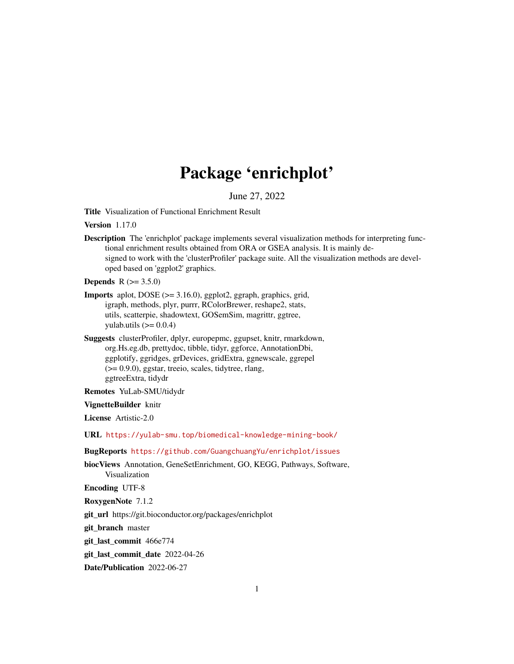# Package 'enrichplot'

June 27, 2022

<span id="page-0-0"></span>Title Visualization of Functional Enrichment Result

Version 1.17.0

Description The 'enrichplot' package implements several visualization methods for interpreting functional enrichment results obtained from ORA or GSEA analysis. It is mainly designed to work with the 'clusterProfiler' package suite. All the visualization methods are developed based on 'ggplot2' graphics.

**Depends** R  $(>= 3.5.0)$ 

- Imports aplot, DOSE (>= 3.16.0), ggplot2, ggraph, graphics, grid, igraph, methods, plyr, purrr, RColorBrewer, reshape2, stats, utils, scatterpie, shadowtext, GOSemSim, magrittr, ggtree, yulab.utils  $(>= 0.0.4)$
- Suggests clusterProfiler, dplyr, europepmc, ggupset, knitr, rmarkdown, org.Hs.eg.db, prettydoc, tibble, tidyr, ggforce, AnnotationDbi, ggplotify, ggridges, grDevices, gridExtra, ggnewscale, ggrepel (>= 0.9.0), ggstar, treeio, scales, tidytree, rlang, ggtreeExtra, tidydr

Remotes YuLab-SMU/tidydr

#### VignetteBuilder knitr

License Artistic-2.0

URL <https://yulab-smu.top/biomedical-knowledge-mining-book/>

- BugReports <https://github.com/GuangchuangYu/enrichplot/issues>
- biocViews Annotation, GeneSetEnrichment, GO, KEGG, Pathways, Software, Visualization

Encoding UTF-8

RoxygenNote 7.1.2

git\_url https://git.bioconductor.org/packages/enrichplot

git\_branch master

git\_last\_commit 466e774

git last commit date 2022-04-26

Date/Publication 2022-06-27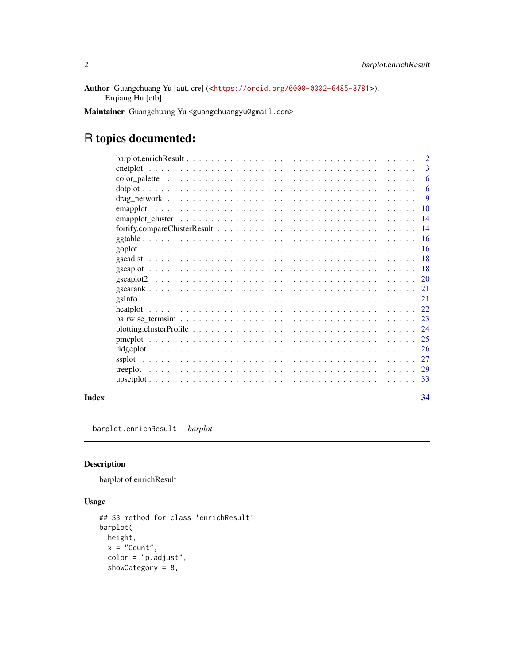<span id="page-1-0"></span>Author Guangchuang Yu [aut, cre] (<<https://orcid.org/0000-0002-6485-8781>>), Erqiang Hu [ctb]

Maintainer Guangchuang Yu <guangchuangyu@gmail.com>

# R topics documented:

|  | $\overline{2}$  |
|--|-----------------|
|  | 3               |
|  | 6               |
|  | 6               |
|  | -9              |
|  | <b>10</b>       |
|  | $\overline{14}$ |
|  | $\overline{14}$ |
|  |                 |
|  | -16             |
|  | - 18            |
|  |                 |
|  |                 |
|  | 21              |
|  | 21              |
|  | 22              |
|  |                 |
|  |                 |
|  | 25              |
|  | -26             |
|  | 27              |
|  |                 |
|  | 33              |
|  |                 |

#### **Index** [34](#page-33-0)

Description

barplot of enrichResult

barplot.enrichResult *barplot*

```
## S3 method for class 'enrichResult'
barplot(
 height,
 x = "Count",color = "p.adjust",
  showCategory = 8,
```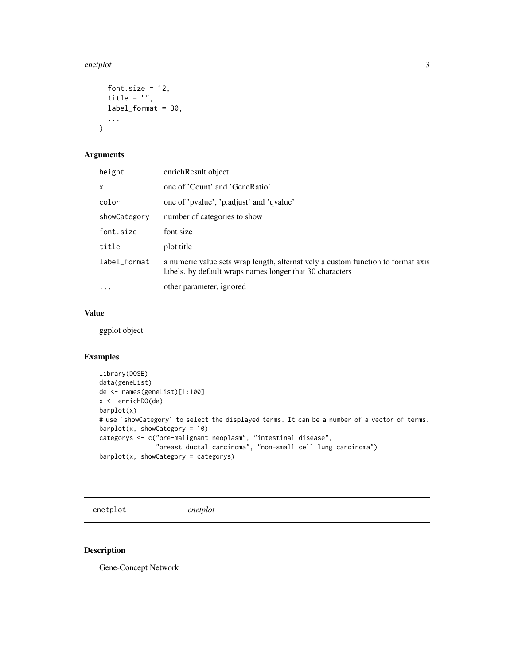#### <span id="page-2-0"></span>cnetplot 3

```
font.size = 12,
  title = ",
  label_format = 30,
  ...
\mathcal{L}
```
# Arguments

| height       | enrichResult object                                                                                                                          |
|--------------|----------------------------------------------------------------------------------------------------------------------------------------------|
| x            | one of 'Count' and 'GeneRatio'                                                                                                               |
| color        | one of 'pvalue', 'p.adjust' and 'qvalue'                                                                                                     |
| showCategory | number of categories to show                                                                                                                 |
| font.size    | font size                                                                                                                                    |
| title        | plot title                                                                                                                                   |
| label_format | a numeric value sets wrap length, alternatively a custom function to format axis<br>labels. by default wraps names longer that 30 characters |
| $\cdots$     | other parameter, ignored                                                                                                                     |

#### Value

ggplot object

#### Examples

```
library(DOSE)
data(geneList)
de <- names(geneList)[1:100]
x <- enrichDO(de)
barplot(x)
# use `showCategory` to select the displayed terms. It can be a number of a vector of terms.
barplot(x, showCategory = 10)
categorys <- c("pre-malignant neoplasm", "intestinal disease",
               "breast ductal carcinoma", "non-small cell lung carcinoma")
barplot(x, showCategory = categorys)
```
cnetplot *cnetplot*

#### Description

Gene-Concept Network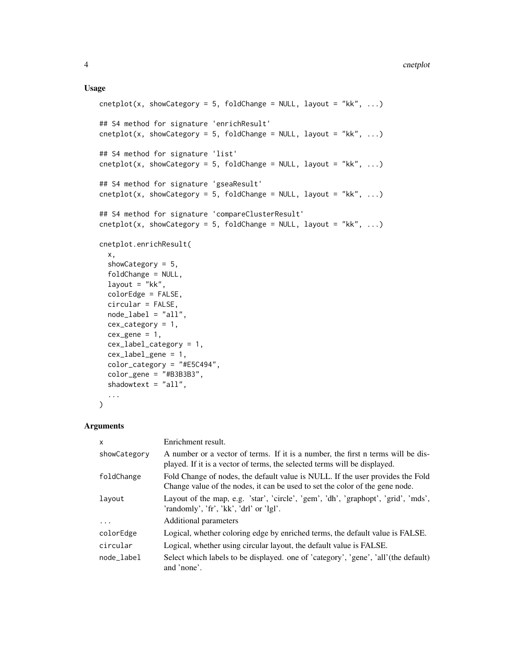#### Usage

```
cnetplot(x, showCategory = 5, foldChange = NULL, layout = "kk", ...)
## S4 method for signature 'enrichResult'
cnetplot(x, showCategory = 5, foldChange = NULL, layout = "kk", ...)
## S4 method for signature 'list'
cnetplot(x, showCategory = 5, foldChange = NULL, layout = "kk", ...)
## S4 method for signature 'gseaResult'
cnetplot(x, showCategory = 5, foldChange = NULL, layout = "kk", ...)
## S4 method for signature 'compareClusterResult'
cnetplot(x, showCategory = 5, foldChange = NULL, layout = "kk", ...)
cnetplot.enrichResult(
  x,
  showCategory = 5,
  foldChange = NULL,
  layout = "kk",
  colorEdge = FALSE,
  circular = FALSE,
  node_label = "all",
  cex\_category = 1,
  cex\_gene = 1,
  cex_label_category = 1,
  cex_label_gene = 1,
  color_category = "#E5C494",
  color_gene = "#B3B3B3",
  shadowtext = "all",...
\mathcal{L}
```
#### Arguments

| x            | Enrichment result.                                                                                                                                             |
|--------------|----------------------------------------------------------------------------------------------------------------------------------------------------------------|
| showCategory | A number or a vector of terms. If it is a number, the first n terms will be dis-<br>played. If it is a vector of terms, the selected terms will be displayed.  |
| foldChange   | Fold Change of nodes, the default value is NULL. If the user provides the Fold<br>Change value of the nodes, it can be used to set the color of the gene node. |
| layout       | Layout of the map, e.g. 'star', 'circle', 'gem', 'dh', 'graphopt', 'grid', 'mds',<br>'randomly', 'fr', 'kk', 'drl' or 'lgl'.                                   |
| $\ddots$     | Additional parameters                                                                                                                                          |
| colorEdge    | Logical, whether coloring edge by enriched terms, the default value is FALSE.                                                                                  |
| circular     | Logical, whether using circular layout, the default value is FALSE.                                                                                            |
| node label   | Select which labels to be displayed. one of 'category', 'gene', 'all'(the default)<br>and 'none'.                                                              |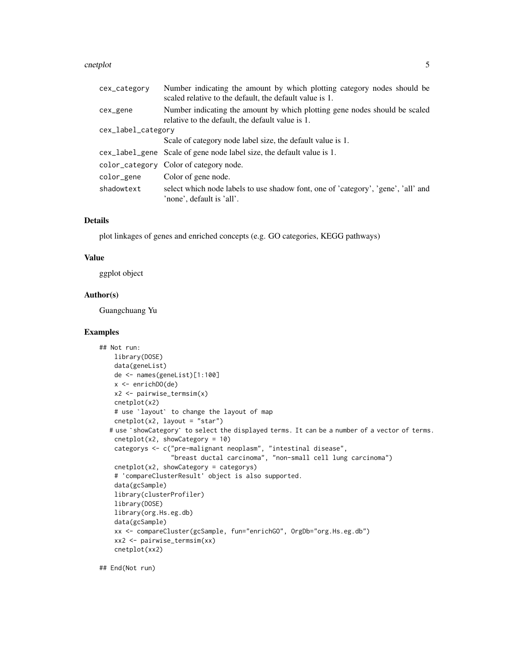#### cnetplot 5

| cex_category       | Number indicating the amount by which plotting category nodes should be<br>scaled relative to the default, the default value is 1. |  |
|--------------------|------------------------------------------------------------------------------------------------------------------------------------|--|
| cex_gene           | Number indicating the amount by which plotting gene nodes should be scaled<br>relative to the default, the default value is 1.     |  |
| cex_label_category |                                                                                                                                    |  |
|                    | Scale of category node label size, the default value is 1.                                                                         |  |
|                    | cex_label_gene Scale of gene node label size, the default value is 1.                                                              |  |
|                    | color_category Color of category node.                                                                                             |  |
| color_gene         | Color of gene node.                                                                                                                |  |
| shadowtext         | select which node labels to use shadow font, one of 'category', 'gene', 'all' and<br>'none', default is 'all'.                     |  |

# Details

plot linkages of genes and enriched concepts (e.g. GO categories, KEGG pathways)

#### Value

ggplot object

# Author(s)

Guangchuang Yu

# Examples

```
## Not run:
   library(DOSE)
   data(geneList)
   de <- names(geneList)[1:100]
   x <- enrichDO(de)
   x2 <- pairwise_termsim(x)
   cnetplot(x2)
   # use `layout` to change the layout of map
   cneplot(x2, layout = "star")# use `showCategory` to select the displayed terms. It can be a number of a vector of terms.
   cnetplot(x2, showCategory = 10)
   categorys <- c("pre-malignant neoplasm", "intestinal disease",
                   "breast ductal carcinoma", "non-small cell lung carcinoma")
   cnetplot(x2, showCategory = categorys)
   # 'compareClusterResult' object is also supported.
   data(gcSample)
   library(clusterProfiler)
   library(DOSE)
   library(org.Hs.eg.db)
   data(gcSample)
   xx <- compareCluster(gcSample, fun="enrichGO", OrgDb="org.Hs.eg.db")
   xx2 <- pairwise_termsim(xx)
   cnetplot(xx2)
```
## End(Not run)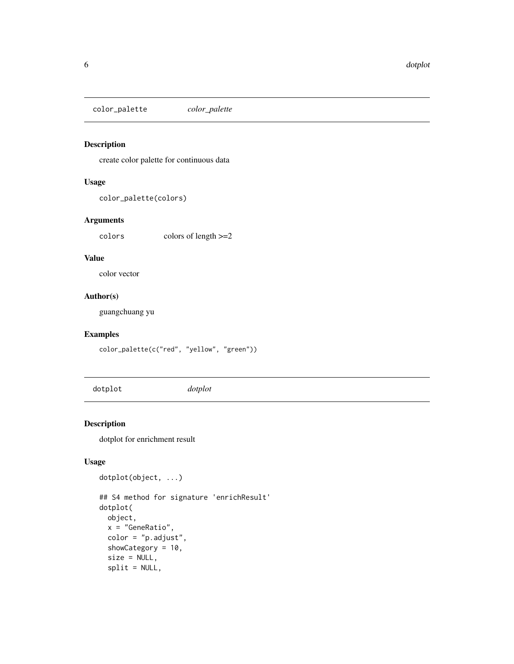<span id="page-5-0"></span>color\_palette *color\_palette*

#### Description

create color palette for continuous data

#### Usage

```
color_palette(colors)
```
#### Arguments

colors colors of length >=2

# Value

color vector

# Author(s)

guangchuang yu

#### Examples

color\_palette(c("red", "yellow", "green"))

dotplot *dotplot*

#### Description

dotplot for enrichment result

```
dotplot(object, ...)
## S4 method for signature 'enrichResult'
dotplot(
 object,
 x = "GeneRatio",
 color = "p.adjust",
  showCategory = 10,
  size = NULL,
  split = NULL,
```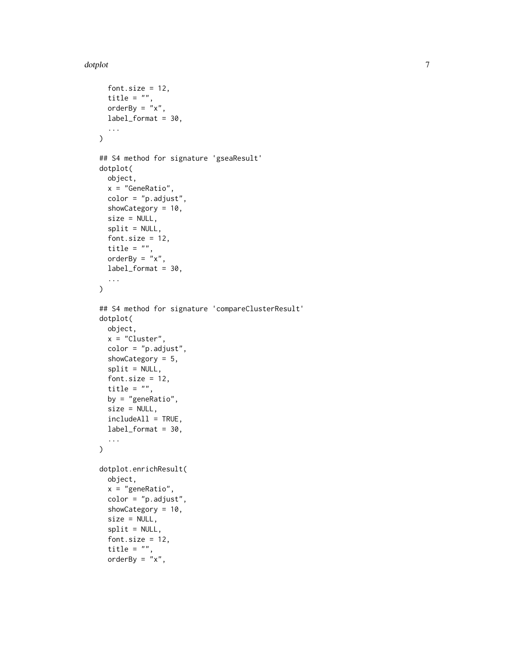#### dotplot that the control of the control of the control of the control of the control of the control of the control of the control of the control of the control of the control of the control of the control of the control of

```
font.size = 12,
  title = ",
  orderBy = "x",label_format = 30,
  ...
\mathcal{L}## S4 method for signature 'gseaResult'
dotplot(
 object,
 x = "GeneRatio",
  color = "p.adjust",
  showCategory = 10,
  size = NULL,
  split = NULL,
  font.size = 12,
  title = "",
 orderBy = "x",label_format = 30,
  ...
\mathcal{L}## S4 method for signature 'compareClusterResult'
dotplot(
 object,
 x = "Cluster",
  color = "p.adjust",
  showCategory = 5,
  split = NULL,font.size = 12,
  title = ",
 by = "geneRatio",
  size = NULL,includeAll = TRUE,
  label_format = 30,
  ...
\mathcal{L}dotplot.enrichResult(
 object,
  x = "geneRatio",color = "p.adjust",
  showCategory = 10,
  size = NULL,
  split = NULL,font.size = 12,
  title = "",
  orderBy = "x",
```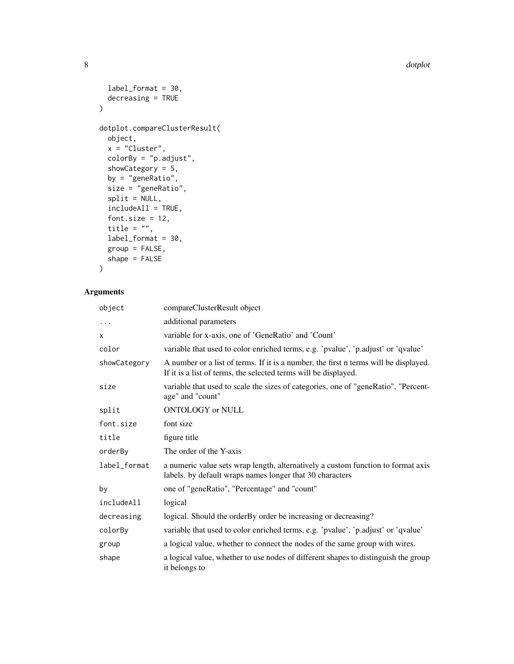```
label_{format} = 30,decreasing = TRUE
\mathcal{L}dotplot.compareClusterResult(
 object,
 x = "Cluster",
 colorBy = "p.adjust",
  showCategory = 5,
 by = "geneRatio",
 size = "geneRatio",
  split = NULL,includeAll = TRUE,
  font.size = 12,
  title = ",
  label_format = 30,
 group = FALSE,
 shape = FALSE
```
# $\mathcal{L}$

# Arguments

| object       | compareClusterResult object                                                                                                                             |
|--------------|---------------------------------------------------------------------------------------------------------------------------------------------------------|
| .            | additional parameters                                                                                                                                   |
| X            | variable for x-axis, one of 'GeneRatio' and 'Count'                                                                                                     |
| color        | variable that used to color enriched terms, e.g. 'pvalue', 'p.adjust' or 'qvalue'                                                                       |
| showCategory | A number or a list of terms. If it is a number, the first n terms will be displayed.<br>If it is a list of terms, the selected terms will be displayed. |
| size         | variable that used to scale the sizes of categories, one of "geneRatio", "Percent-<br>age" and "count"                                                  |
| split        | ONTOLOGY or NULL                                                                                                                                        |
| font.size    | font size                                                                                                                                               |
| title        | figure title                                                                                                                                            |
| orderBy      | The order of the Y-axis                                                                                                                                 |
| label_format | a numeric value sets wrap length, alternatively a custom function to format axis<br>labels. by default wraps names longer that 30 characters            |
| by           | one of "geneRatio", "Percentage" and "count"                                                                                                            |
| includeAll   | logical                                                                                                                                                 |
| decreasing   | logical. Should the orderBy order be increasing or decreasing?                                                                                          |
| colorBy      | variable that used to color enriched terms, e.g. 'pvalue', 'p.adjust' or 'qvalue'                                                                       |
| group        | a logical value, whether to connect the nodes of the same group with wires.                                                                             |
| shape        | a logical value, whether to use nodes of different shapes to distinguish the group<br>it belongs to                                                     |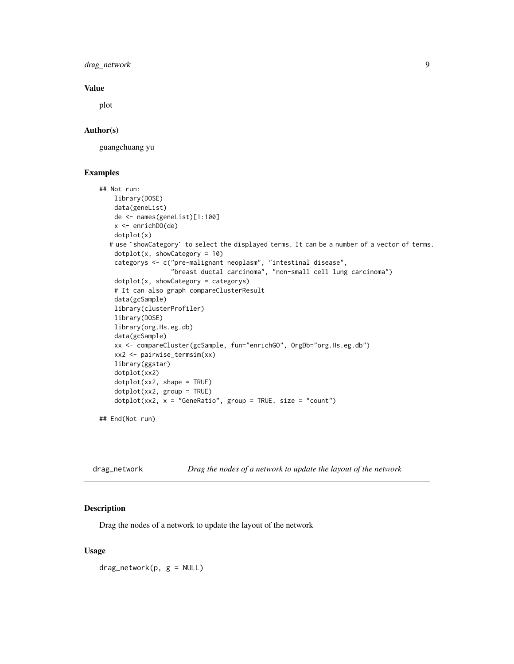<span id="page-8-0"></span>drag\_network 9

#### Value

plot

#### Author(s)

guangchuang yu

#### Examples

```
## Not run:
   library(DOSE)
   data(geneList)
   de <- names(geneList)[1:100]
   x <- enrichDO(de)
   dotplot(x)
  # use `showCategory` to select the displayed terms. It can be a number of a vector of terms.
    dotplot(x, showCategory = 10)
    categorys <- c("pre-malignant neoplasm", "intestinal disease",
                   "breast ductal carcinoma", "non-small cell lung carcinoma")
   dotplot(x, showCategory = categorys)
   # It can also graph compareClusterResult
   data(gcSample)
   library(clusterProfiler)
   library(DOSE)
   library(org.Hs.eg.db)
   data(gcSample)
   xx <- compareCluster(gcSample, fun="enrichGO", OrgDb="org.Hs.eg.db")
   xx2 <- pairwise_termsim(xx)
   library(ggstar)
   dotplot(xx2)
   dotplot(xx2, shape = TRUE)
    dotplot(xx2, group = TRUE)
   dotplot(xx2, x = "GeneRatio", group = TRUE, size = "count")
```
## End(Not run)

| drag_network |  |  | Drag the nodes of a network to update the layout of the network |  |  |
|--------------|--|--|-----------------------------------------------------------------|--|--|
|--------------|--|--|-----------------------------------------------------------------|--|--|

#### Description

Drag the nodes of a network to update the layout of the network

#### Usage

 $drag_{\text{network}}(p, g = \text{NULL})$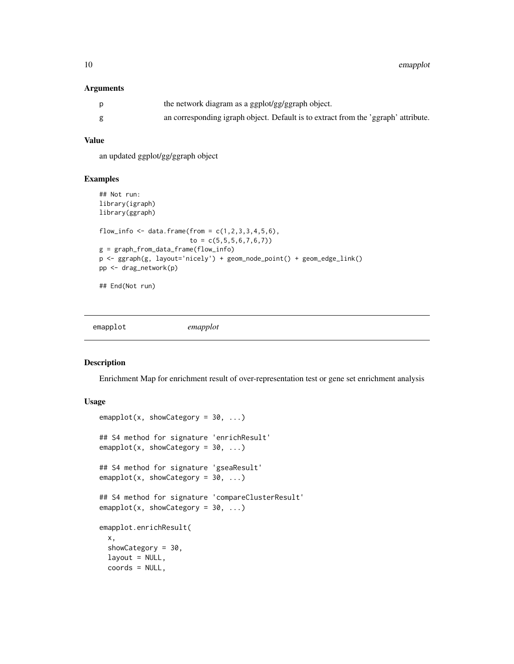<span id="page-9-0"></span>10 emapplot

#### Arguments

| the network diagram as a ggplot/gg/ggraph object.                                  |
|------------------------------------------------------------------------------------|
| an corresponding igraph object. Default is to extract from the 'ggraph' attribute. |

#### Value

an updated ggplot/gg/ggraph object

#### Examples

```
## Not run:
library(igraph)
library(ggraph)
flow_info <- data.frame(from = c(1, 2, 3, 3, 4, 5, 6),
                        to = c(5, 5, 5, 6, 7, 6, 7)g = graph_from_data_frame(flow_info)
p <- ggraph(g, layout='nicely') + geom_node_point() + geom_edge_link()
pp <- drag_network(p)
## End(Not run)
```
<span id="page-9-1"></span>emapplot *emapplot*

#### Description

Enrichment Map for enrichment result of over-representation test or gene set enrichment analysis

```
emapplot(x, showCategory = 30, ...)## S4 method for signature 'enrichResult'
emapplot(x, showCategory = 30, ...)
## S4 method for signature 'gseaResult'
emapplot(x, showCategory = 30, ...)## S4 method for signature 'compareClusterResult'
emapplot(x, showCategory = 30, ...)emapplot.enrichResult(
 x,
  showCategory = 30,
 layout = NULL,
 coords = NULL,
```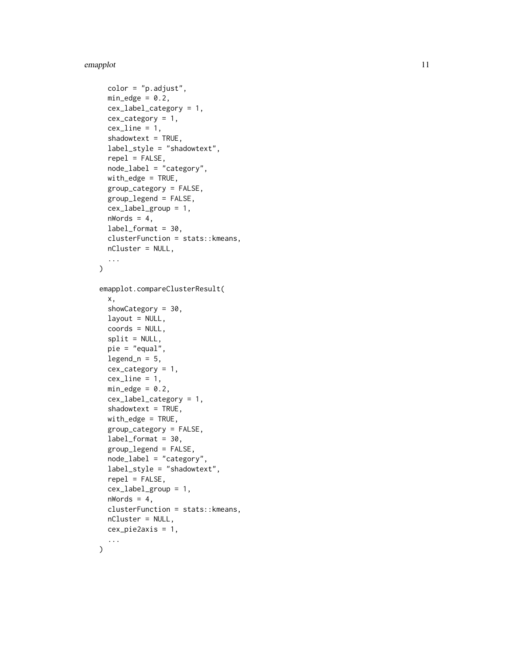#### emapplot the contract of the contract of the contract of the contract of the contract of the contract of the contract of the contract of the contract of the contract of the contract of the contract of the contract of the c

```
color = "p.addjust",min\_edge = 0.2,
 cex_label_category = 1,
 cex_category = 1,
  cexline = 1,
  shadowtext = TRUE,
  label_style = "shadowtext",
  repel = FALSE,
  node_label = "category",
 with\_edge = TRUE,group_category = FALSE,
 group_legend = FALSE,
  cex_label_group = 1,
 nWords = 4,
 label_format = 30,
  clusterFunction = stats::kmeans,
 nCluster = NULL,
  ...
\mathcal{L}emapplot.compareClusterResult(
  x,
  showCategory = 30,
  layout = NULL,
  coords = NULL,
  split = NULL,pie = "equal",
  legend_n = 5,
  cex\_category = 1,
  cex line = 1,
 min\_edge = 0.2,
 cex_label_category = 1,
  shadowtext = TRUE,with_edge = TRUE,
  group_category = FALSE,
  label_format = 30,
  group_legend = FALSE,
 node_label = "category",
  label_style = "shadowtext",
  repel = FALSE,cex_label_group = 1,
 nWords = 4,
  clusterFunction = stats::kmeans,
 nCluster = NULL,
 cex_pie2axis = 1,
  ...
```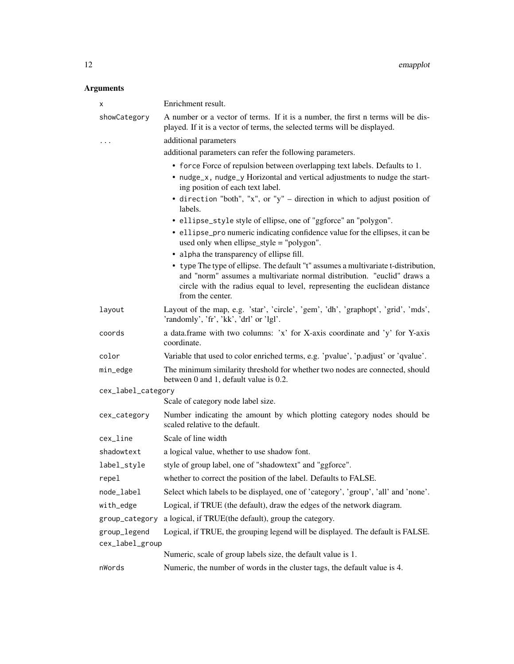# Arguments

| х                  | Enrichment result.                                                                                                                                                                                                                                              |  |
|--------------------|-----------------------------------------------------------------------------------------------------------------------------------------------------------------------------------------------------------------------------------------------------------------|--|
| showCategory       | A number or a vector of terms. If it is a number, the first n terms will be dis-<br>played. If it is a vector of terms, the selected terms will be displayed.                                                                                                   |  |
| $\ddotsc$          | additional parameters                                                                                                                                                                                                                                           |  |
|                    | additional parameters can refer the following parameters.                                                                                                                                                                                                       |  |
|                    | • force Force of repulsion between overlapping text labels. Defaults to 1.<br>• nudge_x, nudge_y Horizontal and vertical adjustments to nudge the start-<br>ing position of each text label.                                                                    |  |
|                    | • direction "both", "x", or "y" – direction in which to adjust position of<br>labels.                                                                                                                                                                           |  |
|                    | • ellipse_style style of ellipse, one of "ggforce" an "polygon".                                                                                                                                                                                                |  |
|                    | • ellipse_pro numeric indicating confidence value for the ellipses, it can be<br>used only when ellipse_style = "polygon".                                                                                                                                      |  |
|                    | • alpha the transparency of ellipse fill.                                                                                                                                                                                                                       |  |
|                    | • type The type of ellipse. The default "t" assumes a multivariate t-distribution,<br>and "norm" assumes a multivariate normal distribution. "euclid" draws a<br>circle with the radius equal to level, representing the euclidean distance<br>from the center. |  |
| layout             | Layout of the map, e.g. 'star', 'circle', 'gem', 'dh', 'graphopt', 'grid', 'mds',<br>'randomly', 'fr', 'kk', 'drl' or 'lgl'.                                                                                                                                    |  |
| coords             | a data.frame with two columns: 'x' for X-axis coordinate and 'y' for Y-axis<br>coordinate.                                                                                                                                                                      |  |
| color              | Variable that used to color enriched terms, e.g. 'pvalue', 'p.adjust' or 'qvalue'.                                                                                                                                                                              |  |
| min_edge           | The minimum similarity threshold for whether two nodes are connected, should<br>between 0 and 1, default value is 0.2.                                                                                                                                          |  |
| cex_label_category |                                                                                                                                                                                                                                                                 |  |
|                    | Scale of category node label size.                                                                                                                                                                                                                              |  |
| cex_category       | Number indicating the amount by which plotting category nodes should be<br>scaled relative to the default.                                                                                                                                                      |  |
| cex_line           | Scale of line width                                                                                                                                                                                                                                             |  |
| shadowtext         | a logical value, whether to use shadow font.                                                                                                                                                                                                                    |  |
| label_style        | style of group label, one of "shadowtext" and "ggforce".                                                                                                                                                                                                        |  |
| repel              | whether to correct the position of the label. Defaults to FALSE.                                                                                                                                                                                                |  |
| node_label         | Select which labels to be displayed, one of 'category', 'group', 'all' and 'none'.                                                                                                                                                                              |  |
| with_edge          | Logical, if TRUE (the default), draw the edges of the network diagram.                                                                                                                                                                                          |  |
| group_category     | a logical, if TRUE(the default), group the category.                                                                                                                                                                                                            |  |
| group_legend       | Logical, if TRUE, the grouping legend will be displayed. The default is FALSE.                                                                                                                                                                                  |  |
| cex_label_group    |                                                                                                                                                                                                                                                                 |  |
|                    | Numeric, scale of group labels size, the default value is 1.                                                                                                                                                                                                    |  |
| nWords             | Numeric, the number of words in the cluster tags, the default value is 4.                                                                                                                                                                                       |  |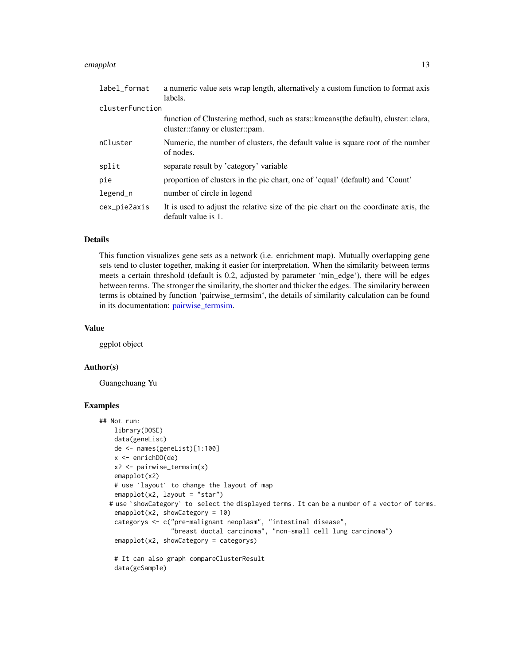#### <span id="page-12-0"></span>emapplot that the contract of the contract of the contract of the contract of the contract of the contract of the contract of the contract of the contract of the contract of the contract of the contract of the contract of

| label_format    | a numeric value sets wrap length, alternatively a custom function to format axis                                         |
|-----------------|--------------------------------------------------------------------------------------------------------------------------|
|                 | labels.                                                                                                                  |
| clusterFunction |                                                                                                                          |
|                 | function of Clustering method, such as stats:: kmeans (the default), cluster:: clara,<br>cluster::fanny or cluster::pam. |
| nCluster        | Numeric, the number of clusters, the default value is square root of the number<br>of nodes.                             |
| split           | separate result by 'category' variable                                                                                   |
| pie             | proportion of clusters in the pie chart, one of 'equal' (default) and 'Count'                                            |
| $legend_n$      | number of circle in legend                                                                                               |
| cex_pie2axis    | It is used to adjust the relative size of the pie chart on the coordinate axis, the<br>default value is 1.               |

# Details

This function visualizes gene sets as a network (i.e. enrichment map). Mutually overlapping gene sets tend to cluster together, making it easier for interpretation. When the similarity between terms meets a certain threshold (default is 0.2, adjusted by parameter 'min\_edge'), there will be edges between terms. The stronger the similarity, the shorter and thicker the edges. The similarity between terms is obtained by function 'pairwise\_termsim', the details of similarity calculation can be found in its documentation: pairwise termsim.

#### Value

ggplot object

#### Author(s)

Guangchuang Yu

#### Examples

```
## Not run:
   library(DOSE)
   data(geneList)
   de <- names(geneList)[1:100]
   x <- enrichDO(de)
    x2 <- pairwise_termsim(x)
   emapplot(x2)
    # use `layout` to change the layout of map
    emapplot(x2, layout = "star")
  # use `showCategory` to select the displayed terms. It can be a number of a vector of terms.
   emapplot(x2, showCategory = 10)categorys <- c("pre-malignant neoplasm", "intestinal disease",
                   "breast ductal carcinoma", "non-small cell lung carcinoma")
    emapplot(x2, showCategory = categorys)
    # It can also graph compareClusterResult
    data(gcSample)
```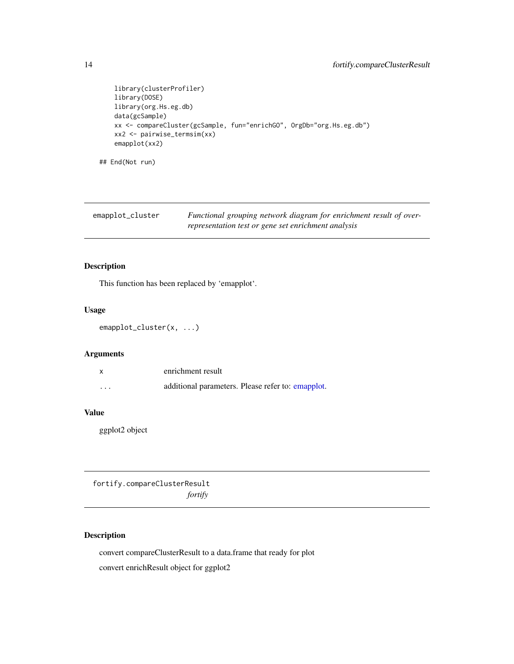```
library(clusterProfiler)
library(DOSE)
library(org.Hs.eg.db)
data(gcSample)
xx <- compareCluster(gcSample, fun="enrichGO", OrgDb="org.Hs.eg.db")
xx2 <- pairwise_termsim(xx)
emapplot(xx2)
```
## End(Not run)

| emapplot_cluster | Functional grouping network diagram for enrichment result of over- |
|------------------|--------------------------------------------------------------------|
|                  | representation test or gene set enrichment analysis                |

#### Description

This function has been replaced by 'emapplot'.

#### Usage

```
emapplot_cluster(x, ...)
```
#### Arguments

|          | enrichment result                                 |
|----------|---------------------------------------------------|
| $\cdots$ | additional parameters. Please refer to: emapplot. |

# Value

ggplot2 object

fortify.compareClusterResult *fortify*

# Description

convert compareClusterResult to a data.frame that ready for plot convert enrichResult object for ggplot2

<span id="page-13-0"></span>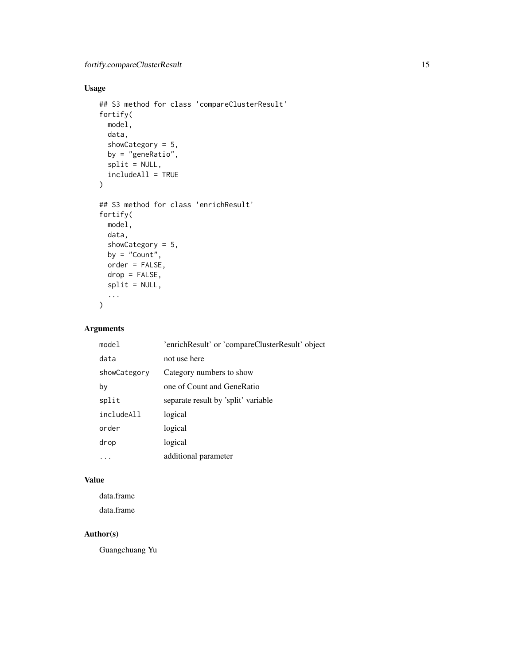# Usage

```
## S3 method for class 'compareClusterResult'
fortify(
 model,
 data,
  showCategory = 5,
 by = "geneRatio",
  split = NULL,
  includeAll = TRUE
\mathcal{L}## S3 method for class 'enrichResult'
fortify(
 model,
 data,
 showCategory = 5,
 by = "Count",order = FALSE,
 drop = FALSE,
  split = NULL,
  ...
\mathcal{L}
```
# Arguments

| model        | 'enrichResult' or 'compareClusterResult' object |
|--------------|-------------------------------------------------|
| data         | not use here                                    |
| showCategory | Category numbers to show                        |
| by           | one of Count and GeneRatio                      |
| split        | separate result by 'split' variable             |
| includeAll   | logical                                         |
| order        | logical                                         |
| drop         | logical                                         |
|              | additional parameter                            |

#### Value

data.frame data.frame

# Author(s)

Guangchuang Yu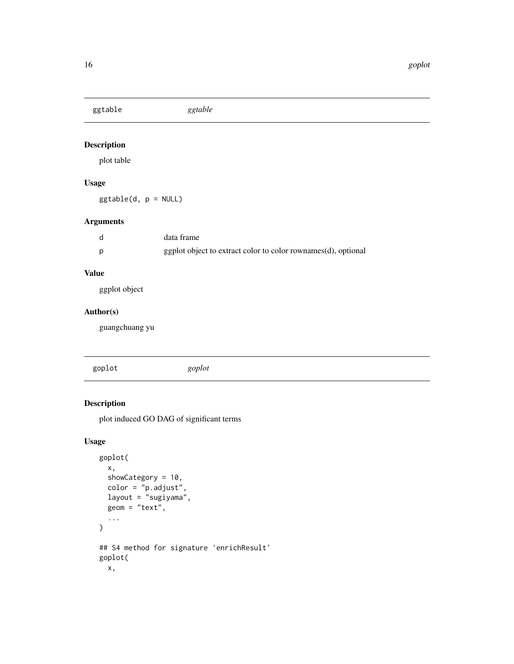<span id="page-15-0"></span>ggtable *ggtable*

# Description

plot table

# Usage

ggtable(d, p = NULL)

# Arguments

| d | data frame                                                    |
|---|---------------------------------------------------------------|
|   | ggplot object to extract color to color rownames(d), optional |

# Value

ggplot object

#### Author(s)

guangchuang yu

|  | goplot | goplot |  |  |
|--|--------|--------|--|--|
|--|--------|--------|--|--|

# Description

plot induced GO DAG of significant terms

```
goplot(
 x,
 showCategory = 10,
 color = "p.adjust",
 layout = "sugiyama",
 geom = "text",
  ...
\mathcal{L}## S4 method for signature 'enrichResult'
goplot(
 x,
```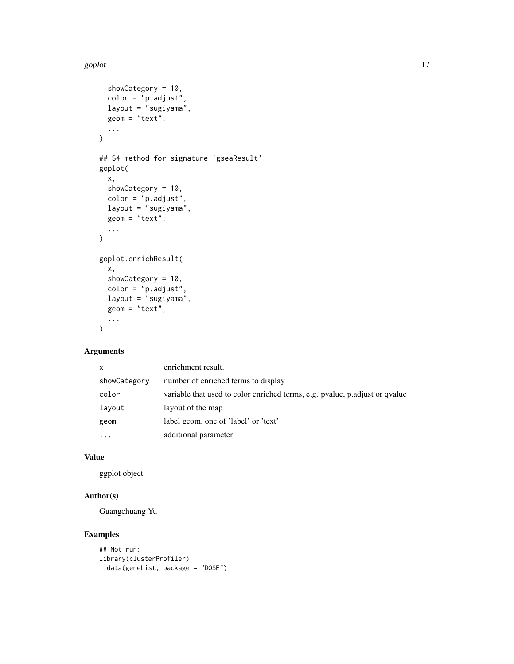#### goplot the state of the state of the state of the state of the state of the state of the state of the state of the state of the state of the state of the state of the state of the state of the state of the state of the sta

```
showCategory = 10,
 color = "p.adjust",
 layout = "sugiyama",
 geom = "text",
  ...
\mathcal{L}## S4 method for signature 'gseaResult'
goplot(
  x,
  showCategory = 10,
 color = "p.adjust",
 layout = "sugiyama",
 geom = "text",
  ...
)
goplot.enrichResult(
 x,
  showCategory = 10,
 color = "p.adjust",
  layout = "sugiyama",
 geom = "text",
  ...
\mathcal{L}
```
#### Arguments

| $\mathsf{x}$ | enrichment result.                                                          |
|--------------|-----------------------------------------------------------------------------|
| showCategory | number of enriched terms to display                                         |
| color        | variable that used to color enriched terms, e.g. pvalue, p.adjust or qvalue |
| layout       | layout of the map                                                           |
| geom         | label geom, one of 'label' or 'text'                                        |
| $\cdots$     | additional parameter                                                        |

# Value

ggplot object

# Author(s)

Guangchuang Yu

#### Examples

```
## Not run:
library(clusterProfiler)
 data(geneList, package = "DOSE")
```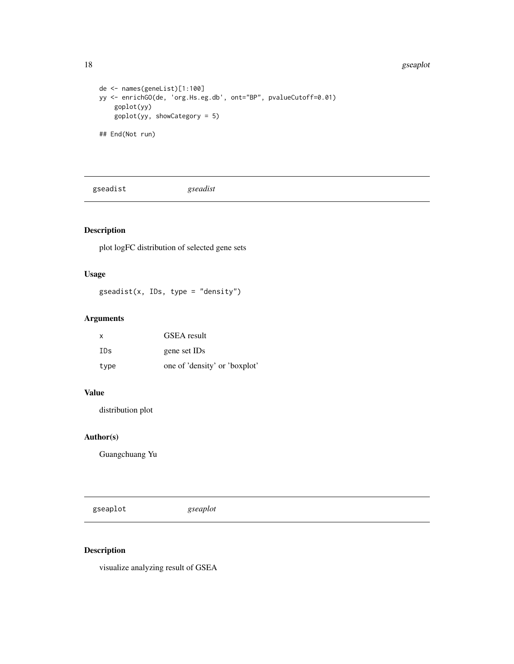#### 18 gseaplot

```
de <- names(geneList)[1:100]
yy <- enrichGO(de, 'org.Hs.eg.db', ont="BP", pvalueCutoff=0.01)
    goplot(yy)
    goplot(yy, showCategory = 5)
## End(Not run)
```
gseadist *gseadist*

# Description

plot logFC distribution of selected gene sets

#### Usage

gseadist(x, IDs, type = "density")

### Arguments

| x    | GSEA result                   |
|------|-------------------------------|
| TDs. | gene set IDs                  |
| type | one of 'density' or 'boxplot' |

# Value

distribution plot

# Author(s)

Guangchuang Yu

gseaplot *gseaplot*

# Description

visualize analyzing result of GSEA

<span id="page-17-0"></span>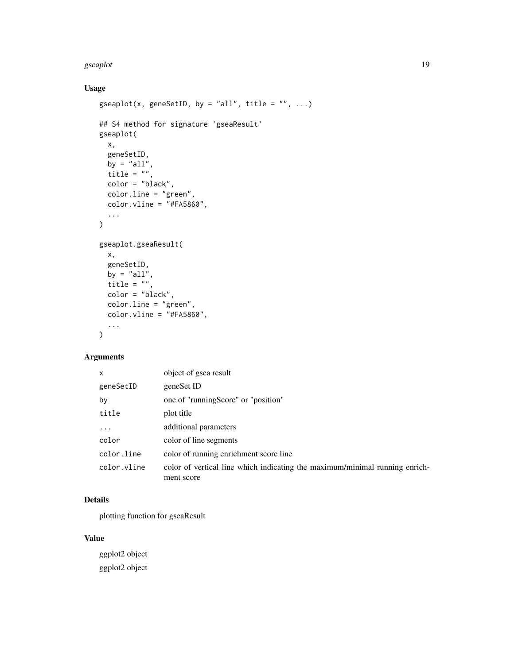#### gseaplot the contract of the contract of the contract of the contract of the contract of the contract of the contract of the contract of the contract of the contract of the contract of the contract of the contract of the c

# Usage

```
gseaplot(x, geneSetID, by = "all", title = "", ...)
## S4 method for signature 'gseaResult'
gseaplot(
 x,
  geneSetID,
 by = "all",title = ",
 color = "black",
 color.line = "green",
 color.vline = "#FA5860",...
\mathcal{L}gseaplot.gseaResult(
 x,
  geneSetID,
  by = "all",title = ",
 color = "black",
 color.line = "green",
 color.vline = "#FA5860"....
\mathcal{L}
```
# Arguments

| $\mathsf{x}$ | object of gsea result                                                                     |
|--------------|-------------------------------------------------------------------------------------------|
| geneSetID    | geneSet ID                                                                                |
| by           | one of "runningScore" or "position"                                                       |
| title        | plot title                                                                                |
| $\cdot$      | additional parameters                                                                     |
| color        | color of line segments                                                                    |
| color.line   | color of running enrichment score line                                                    |
| color.vline  | color of vertical line which indicating the maximum/minimal running enrich-<br>ment score |

# Details

plotting function for gseaResult

# Value

ggplot2 object ggplot2 object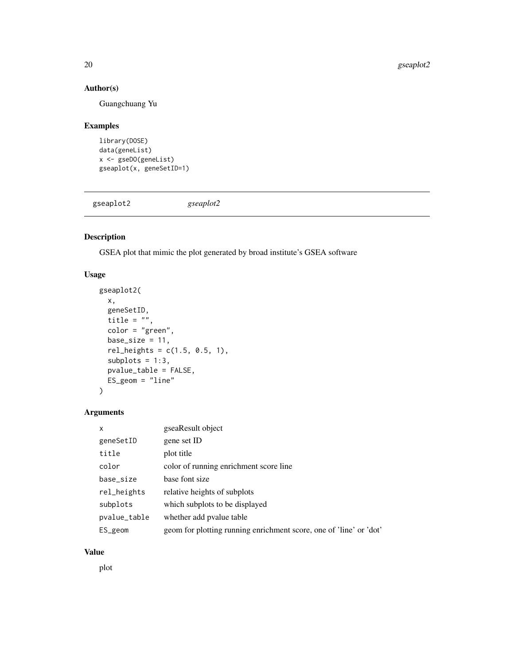#### <span id="page-19-0"></span>Author(s)

Guangchuang Yu

#### Examples

```
library(DOSE)
data(geneList)
x <- gseDO(geneList)
gseaplot(x, geneSetID=1)
```
gseaplot2 *gseaplot2*

# Description

GSEA plot that mimic the plot generated by broad institute's GSEA software

#### Usage

```
gseaplot2(
 x,
 geneSetID,
 title = "",
 color = "green",
 base_size = 11,
 rel\_heights = c(1.5, 0.5, 1),subplots = 1:3,
 pvalue_table = FALSE,
 ES_geom = "line"
)
```
#### Arguments

| X            | gseaResult object                                                  |
|--------------|--------------------------------------------------------------------|
| geneSetID    | gene set ID                                                        |
| title        | plot title                                                         |
| color        | color of running enrichment score line                             |
| base_size    | base font size                                                     |
| rel_heights  | relative heights of subplots                                       |
| subplots     | which subplots to be displayed                                     |
| pvalue_table | whether add pyalue table                                           |
| ES_geom      | geom for plotting running enrichment score, one of 'line' or 'dot' |

#### Value

plot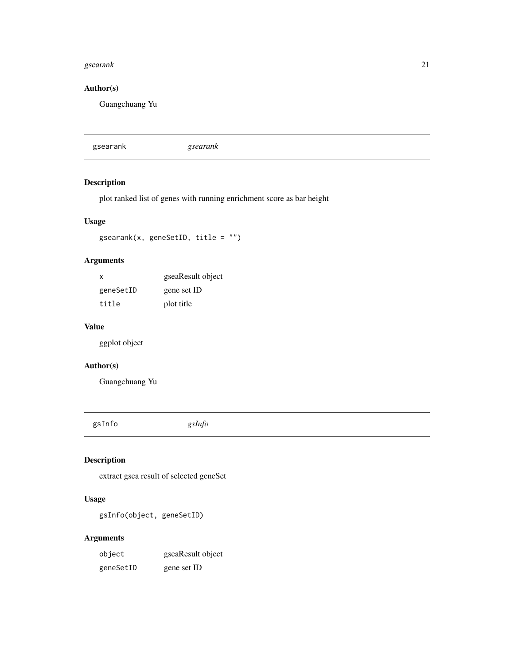#### <span id="page-20-0"></span>gsearank 21

# Author(s)

Guangchuang Yu

gsearank *gsearank*

# Description

plot ranked list of genes with running enrichment score as bar height

# Usage

gsearank(x, geneSetID, title = "")

# Arguments

| X         | gseaResult object |
|-----------|-------------------|
| geneSetID | gene set ID       |
| title     | plot title        |

#### Value

ggplot object

# Author(s)

Guangchuang Yu

gsInfo *gsInfo*

# Description

extract gsea result of selected geneSet

# Usage

gsInfo(object, geneSetID)

#### Arguments

| object    | gseaResult object |
|-----------|-------------------|
| geneSetID | gene set ID       |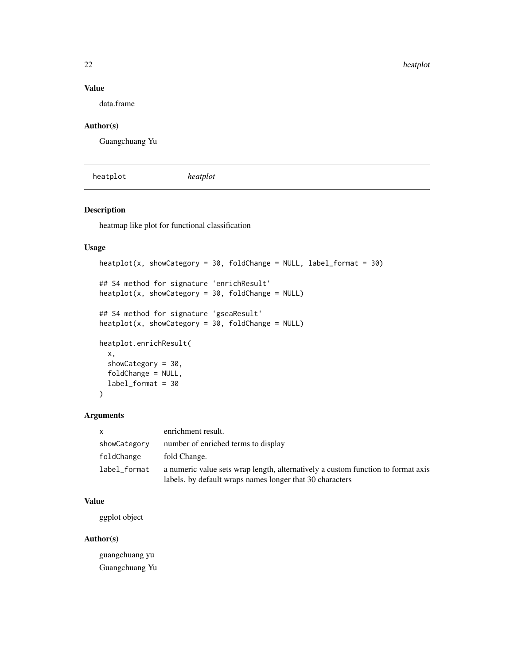# <span id="page-21-0"></span>Value

data.frame

# Author(s)

Guangchuang Yu

heatplot *heatplot*

#### Description

heatmap like plot for functional classification

#### Usage

```
heatplot(x, showCategory = 30, foldChange = NULL, label.format = 30)## S4 method for signature 'enrichResult'
heatplot(x, showCategory = 30, foldChange = NULL)## S4 method for signature 'gseaResult'
heatplot(x, showCategory = 30, foldChange = NULL)heatplot.enrichResult(
  x,
  showCategory = 30,
  foldChange = NULL,
  label_format = 30
\mathcal{L}
```
# Arguments

| <b>X</b>     | enrichment result.                                                                                                                           |
|--------------|----------------------------------------------------------------------------------------------------------------------------------------------|
| showCategory | number of enriched terms to display                                                                                                          |
| foldChange   | fold Change.                                                                                                                                 |
| label_format | a numeric value sets wrap length, alternatively a custom function to format axis<br>labels. by default wraps names longer that 30 characters |

# Value

ggplot object

# Author(s)

guangchuang yu Guangchuang Yu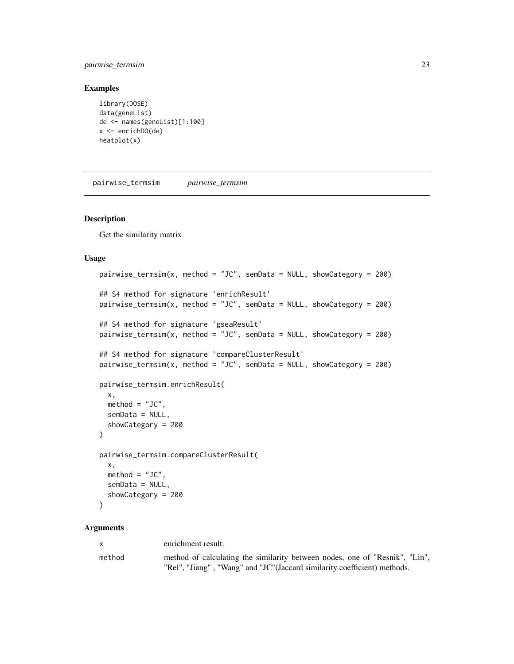#### <span id="page-22-0"></span>pairwise\_termsim 23

#### Examples

```
library(DOSE)
data(geneList)
de <- names(geneList)[1:100]
x <- enrichDO(de)
heatplot(x)
```
<span id="page-22-1"></span>pairwise\_termsim *pairwise\_termsim*

#### Description

Get the similarity matrix

#### Usage

```
pairwise_termsim(x, method = "JC", semData = NULL, showCategory = 200)
## S4 method for signature 'enrichResult'
pairwise_termsim(x, method = "JC", semData = NULL, showCategory = 200)
## S4 method for signature 'gseaResult'
pairwise_termsim(x, method = "JC", semData = NULL, showCategory = 200)
## S4 method for signature 'compareClusterResult'
pairwise_termsim(x, method = "JC", semData = NULL, showCategory = 200)
pairwise_termsim.enrichResult(
 x,
 method = "JC",semData = NULL,
  showCategory = 200
\lambdapairwise_termsim.compareClusterResult(
 x,
 method = "JC",semData = NULL,
  showCategory = 200
\lambda
```
#### Arguments

| $\mathsf{X}$ | enrichment result.                                                                                                                                      |
|--------------|---------------------------------------------------------------------------------------------------------------------------------------------------------|
| method       | method of calculating the similarity between nodes, one of "Resnik", "Lin",<br>"Rel", "Jiang", "Wang" and "JC"(Jaccard similarity coefficient) methods. |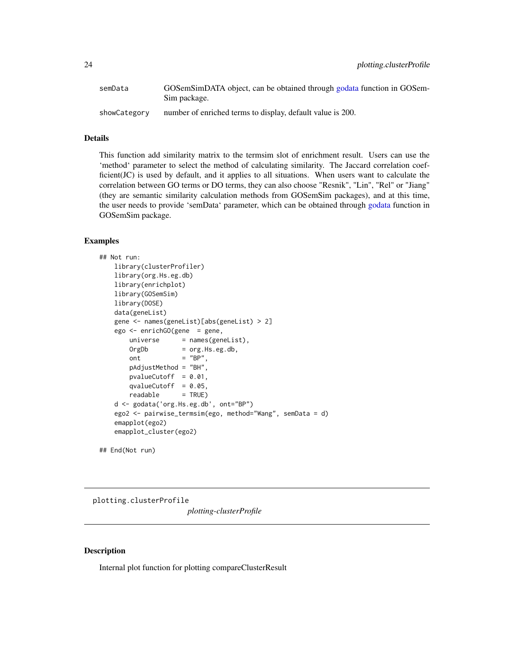<span id="page-23-0"></span>

| semData      | GOSemSimDATA object, can be obtained through godata function in GOSem-<br>Sim package. |
|--------------|----------------------------------------------------------------------------------------|
| showCategory | number of enriched terms to display, default value is 200.                             |

#### Details

This function add similarity matrix to the termsim slot of enrichment result. Users can use the 'method' parameter to select the method of calculating similarity. The Jaccard correlation coefficient(JC) is used by default, and it applies to all situations. When users want to calculate the correlation between GO terms or DO terms, they can also choose "Resnik", "Lin", "Rel" or "Jiang" (they are semantic similarity calculation methods from GOSemSim packages), and at this time, the user needs to provide 'semData' parameter, which can be obtained through [godata](#page-0-0) function in GOSemSim package.

#### Examples

```
## Not run:
   library(clusterProfiler)
   library(org.Hs.eg.db)
   library(enrichplot)
   library(GOSemSim)
   library(DOSE)
   data(geneList)
   gene <- names(geneList)[abs(geneList) > 2]
   ego <- enrichGO(gene = gene,
       universe = names(geneList),
       OrgDb = org.Hs.eg.db,
       ont = "BP",pAdjustMethod = "BH",
       pvalueCutoff = 0.01,
       qvalueCutoff = 0.05,
       readable = TRUE)
   d <- godata('org.Hs.eg.db', ont="BP")
   ego2 <- pairwise_termsim(ego, method="Wang", semData = d)
   emapplot(ego2)
   emapplot_cluster(ego2)
```
## End(Not run)

plotting.clusterProfile

*plotting-clusterProfile*

#### Description

Internal plot function for plotting compareClusterResult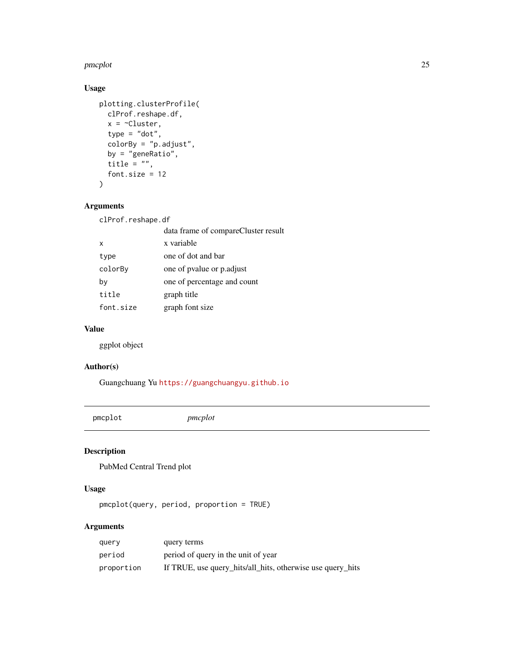#### <span id="page-24-0"></span>pmcplot 25

# Usage

```
plotting.clusterProfile(
  clProf.reshape.df,
  x = \inftyCluster,
  type = "dot",colorBy = "p.adjust",
  by = "geneRatio",
  title = ",
  font.size = 12
\mathcal{L}
```
#### Arguments

clProf.reshape.df

|           | data frame of compareCluster result |
|-----------|-------------------------------------|
| X         | x variable                          |
| type      | one of dot and bar                  |
| colorBy   | one of pyalue or p. adjust          |
| by        | one of percentage and count         |
| title     | graph title                         |
| font.size | graph font size                     |

#### Value

ggplot object

#### Author(s)

Guangchuang Yu <https://guangchuangyu.github.io>

pmcplot *pmcplot*

#### Description

PubMed Central Trend plot

# Usage

pmcplot(query, period, proportion = TRUE)

# Arguments

| query      | query terms                                                |
|------------|------------------------------------------------------------|
| period     | period of query in the unit of year                        |
| proportion | If TRUE, use query_hits/all_hits, otherwise use query_hits |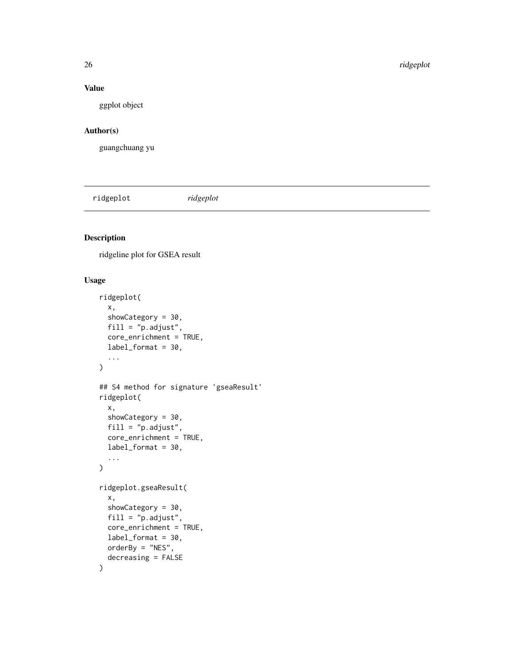#### Value

ggplot object

#### Author(s)

guangchuang yu

ridgeplot *ridgeplot*

# Description

ridgeline plot for GSEA result

```
ridgeplot(
  x,
  showCategory = 30,
  fill = "p.adjust",
  core_enrichment = TRUE,
  label_format = 30,
  ...
\mathcal{L}## S4 method for signature 'gseaResult'
ridgeplot(
  x,
  showCategory = 30,
 fill = "p.addjust",core_enrichment = TRUE,
  label_format = 30,
  ...
)
ridgeplot.gseaResult(
  x,
  showCategory = 30,
  fill = "p.adjust",
  core_enrichment = TRUE,
  label_format = 30,
 orderBy = "NES",decreasing = FALSE
\mathcal{E}
```
<span id="page-25-0"></span>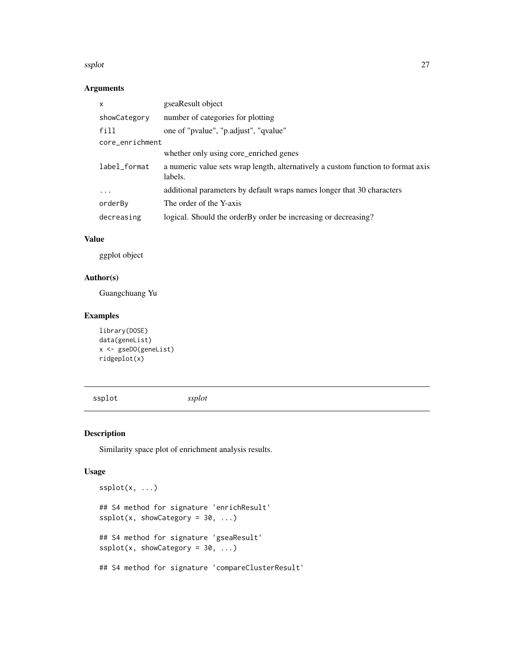#### <span id="page-26-0"></span>ssplot 27

# Arguments

| $\mathsf{x}$    | gseaResult object                                                                           |
|-----------------|---------------------------------------------------------------------------------------------|
| showCategory    | number of categories for plotting                                                           |
| fill            | one of "pvalue", "p.adjust", "qvalue"                                                       |
| core_enrichment |                                                                                             |
|                 | whether only using core_enriched genes                                                      |
| label_format    | a numeric value sets wrap length, alternatively a custom function to format axis<br>labels. |
| $\ddots$        | additional parameters by default wraps names longer that 30 characters                      |
| orderBy         | The order of the Y-axis                                                                     |
| decreasing      | logical. Should the order By order be increasing or decreasing?                             |

#### Value

ggplot object

## Author(s)

Guangchuang Yu

# Examples

```
library(DOSE)
data(geneList)
x <- gseDO(geneList)
ridgeplot(x)
```
ssplot *ssplot*

# Description

Similarity space plot of enrichment analysis results.

```
ssplot(x, ...)
## S4 method for signature 'enrichResult'
splot(x, showCategory = 30, ...)## S4 method for signature 'gseaResult'
splot(x, showCategory = 30, ...)## S4 method for signature 'compareClusterResult'
```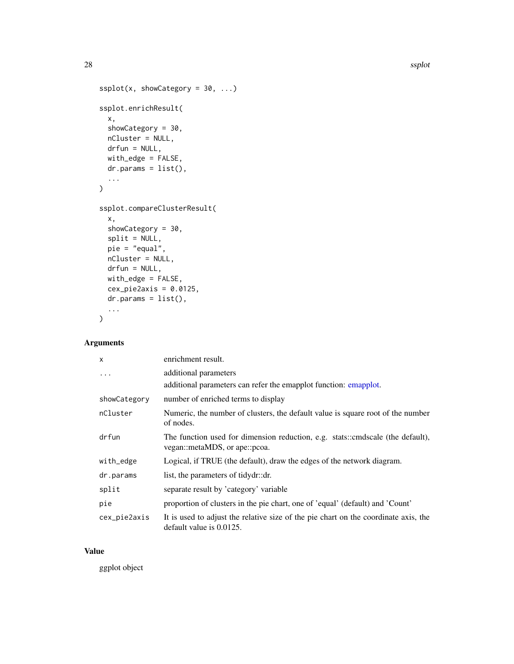```
splot(x, showCategory = 30, ...)ssplot.enrichResult(
 x,
  showCategory = 30,
 nCluster = NULL,
 drfun = NULL,
 with_edge = FALSE,
 dr.params = list(),
  ...
\mathcal{L}ssplot.compareClusterResult(
 x,
  showCategory = 30,
  split = NULL,pie = "equal",
 nCluster = NULL,
 drfun = NULL,
 with_edge = FALSE,
 cex\_pie2axis = 0.0125,dr.params = list(),
  ...
\mathcal{L}
```
# Arguments

| $\mathsf{x}$ | enrichment result.                                                                                                 |
|--------------|--------------------------------------------------------------------------------------------------------------------|
| .            | additional parameters                                                                                              |
|              | additional parameters can refer the emapplot function: emapplot.                                                   |
| showCategory | number of enriched terms to display                                                                                |
| nCluster     | Numeric, the number of clusters, the default value is square root of the number<br>of nodes.                       |
| drfun        | The function used for dimension reduction, e.g. stats::cmdscale (the default),<br>vegan::metaMDS, or ape::pcoa.    |
| with_edge    | Logical, if TRUE (the default), draw the edges of the network diagram.                                             |
| dr.params    | list, the parameters of tidydr::dr.                                                                                |
| split        | separate result by 'category' variable                                                                             |
| pie          | proportion of clusters in the pie chart, one of 'equal' (default) and 'Count'                                      |
| cex_pie2axis | It is used to adjust the relative size of the pie chart on the coordinate axis, the<br>default value is $0.0125$ . |

#### Value

ggplot object

<span id="page-27-0"></span>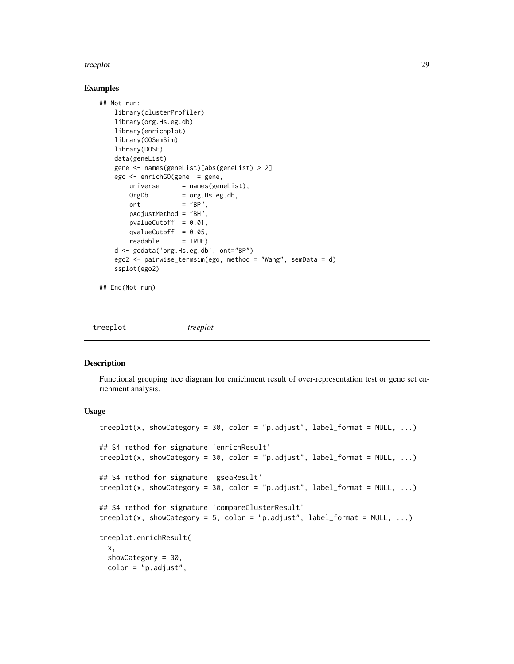#### <span id="page-28-0"></span>Examples

```
## Not run:
   library(clusterProfiler)
   library(org.Hs.eg.db)
   library(enrichplot)
   library(GOSemSim)
   library(DOSE)
   data(geneList)
   gene <- names(geneList)[abs(geneList) > 2]
   ego <- enrichGO(gene = gene,
       universe = names(geneList),
       OrgDb = org.Hs.eg.db,
       \text{ont} = "BP",
       pAdjustMethod = "BH",
       pvalueCutoff = 0.01,
       qvalueCutoff = 0.05,
       readable = TRUE)
   d <- godata('org.Hs.eg.db', ont="BP")
   ego2 <- pairwise_termsim(ego, method = "Wang", semData = d)
   ssplot(ego2)
```
## End(Not run)

treeplot *treeplot*

#### Description

Functional grouping tree diagram for enrichment result of over-representation test or gene set enrichment analysis.

```
treeplot(x, showCategory = 30, color = "p.adjust", label_format = NULL, ...)
## S4 method for signature 'enrichResult'
treeplot(x, showCategory = 30, color = "p.adjust", label_format = NULL, ...)
## S4 method for signature 'gseaResult'
treeplot(x, showCategory = 30, color = "p.adjust", label_format = NULL, ...)
## S4 method for signature 'compareClusterResult'
treeplot(x, showCategory = 5, color = "p.adjust", label_format = NULL, \dots)
treeplot.enrichResult(
  x,
  showCategory = 30,
 color = "p.adjust",
```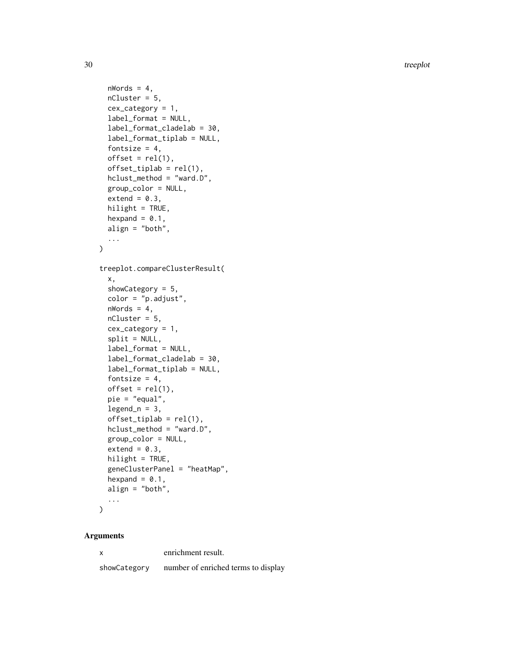```
nWords = 4,
 nCluster = 5,
 cex\_category = 1,
  label_format = NULL,
  label_format_cladelab = 30,
  label_format_tiplab = NULL,
  fontsize = 4,
  offset = rel(1),offset\_tiplab = rel(1),
 hclust_method = "ward.D",
 group_color = NULL,
 extend = 0.3,
 hilight = TRUE,hexpand = 0.1,
 align = "both",
  ...
\mathcal{L}treeplot.compareClusterResult(
  x,
  showCategory = 5,
  color = "p.adjust",
 nWords = 4,nCluster = 5,
  cex\_category = 1,
  split = NULL,label_format = NULL,
  label_format_cladelab = 30,
  label_format_tiplab = NULL,
  fontsize = 4,
  offset = rel(1),
 pie = "equal",
  legend_n = 3,
  offset\_tiplab = rel(1),
  hclust_method = "ward.D",
  group_color = NULL,
  extend = 0.3,
 hilight = TRUE,
  geneClusterPanel = "heatMap",
 hexpand = 0.1,
  align = "both",
  ...
\mathcal{L}
```
#### Arguments

x enrichment result.

showCategory number of enriched terms to display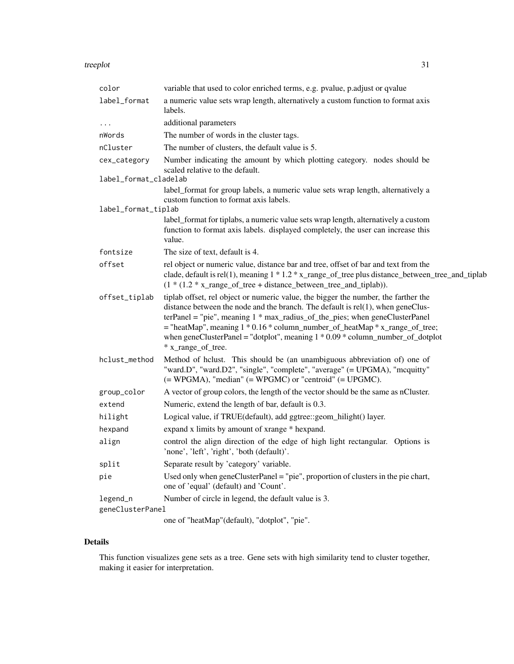| color                 | variable that used to color enriched terms, e.g. pvalue, p.adjust or qvalue                                                                                                                                                                                                                                                                                                                                                                                       |  |
|-----------------------|-------------------------------------------------------------------------------------------------------------------------------------------------------------------------------------------------------------------------------------------------------------------------------------------------------------------------------------------------------------------------------------------------------------------------------------------------------------------|--|
| label_format          | a numeric value sets wrap length, alternatively a custom function to format axis<br>labels.                                                                                                                                                                                                                                                                                                                                                                       |  |
| .                     | additional parameters                                                                                                                                                                                                                                                                                                                                                                                                                                             |  |
| nWords                | The number of words in the cluster tags.                                                                                                                                                                                                                                                                                                                                                                                                                          |  |
| nCluster              | The number of clusters, the default value is 5.                                                                                                                                                                                                                                                                                                                                                                                                                   |  |
| cex_category          | Number indicating the amount by which plotting category. nodes should be<br>scaled relative to the default.                                                                                                                                                                                                                                                                                                                                                       |  |
| label_format_cladelab |                                                                                                                                                                                                                                                                                                                                                                                                                                                                   |  |
| label_format_tiplab   | label_format for group labels, a numeric value sets wrap length, alternatively a<br>custom function to format axis labels.                                                                                                                                                                                                                                                                                                                                        |  |
|                       | label_format for tiplabs, a numeric value sets wrap length, alternatively a custom                                                                                                                                                                                                                                                                                                                                                                                |  |
|                       | function to format axis labels. displayed completely, the user can increase this<br>value.                                                                                                                                                                                                                                                                                                                                                                        |  |
| fontsize              | The size of text, default is 4.                                                                                                                                                                                                                                                                                                                                                                                                                                   |  |
| offset                | rel object or numeric value, distance bar and tree, offset of bar and text from the<br>clade, default is rel(1), meaning 1 * 1.2 * x_range_of_tree plus distance_between_tree_and_tiplab<br>$(1*(1.2*x_range_of-tree + distance_between-tree_and_tiplab)).$                                                                                                                                                                                                       |  |
| offset_tiplab         | tiplab offset, rel object or numeric value, the bigger the number, the farther the<br>distance between the node and the branch. The default is rel(1), when geneClus-<br>$ter Panel = "pie", meaning 1 * max\_radius_of_the_pies; when geneCluster Panel$<br>$=$ "heatMap", meaning 1 $*$ 0.16 $*$ column_number_of_heatMap $*$ x_range_of_tree;<br>when geneClusterPanel = "dotplot", meaning $1 * 0.09 * \text{column_number_of_dotplot}$<br>* x_range_of_tree. |  |
| hclust_method         | Method of hclust. This should be (an unambiguous abbreviation of) one of<br>"ward.D", "ward.D2", "single", "complete", "average" (= UPGMA), "mcquitty"<br>$(= WPGMA)$ , "median" $(= WPGMC)$ or "centroid" $(= UPGMC)$ .                                                                                                                                                                                                                                          |  |
| group_color           | A vector of group colors, the length of the vector should be the same as nCluster.                                                                                                                                                                                                                                                                                                                                                                                |  |
| extend                | Numeric, extend the length of bar, default is 0.3.                                                                                                                                                                                                                                                                                                                                                                                                                |  |
| hilight               | Logical value, if TRUE(default), add ggtree::geom_hilight() layer.                                                                                                                                                                                                                                                                                                                                                                                                |  |
| hexpand               | expand x limits by amount of xrange * hexpand.                                                                                                                                                                                                                                                                                                                                                                                                                    |  |
| align                 | control the align direction of the edge of high light rectangular. Options is<br>'none', 'left', 'right', 'both (default)'.                                                                                                                                                                                                                                                                                                                                       |  |
| split                 | Separate result by 'category' variable.                                                                                                                                                                                                                                                                                                                                                                                                                           |  |
| pie                   | Used only when $geneCluster Panel = "pie", proportion of clusters in the pie chart,$<br>one of 'equal' (default) and 'Count'.                                                                                                                                                                                                                                                                                                                                     |  |
| legend_n              | Number of circle in legend, the default value is 3.                                                                                                                                                                                                                                                                                                                                                                                                               |  |
| geneClusterPanel      |                                                                                                                                                                                                                                                                                                                                                                                                                                                                   |  |
|                       | one of "heatMap"(default), "dotplot", "pie".                                                                                                                                                                                                                                                                                                                                                                                                                      |  |

# Details

This function visualizes gene sets as a tree. Gene sets with high similarity tend to cluster together, making it easier for interpretation.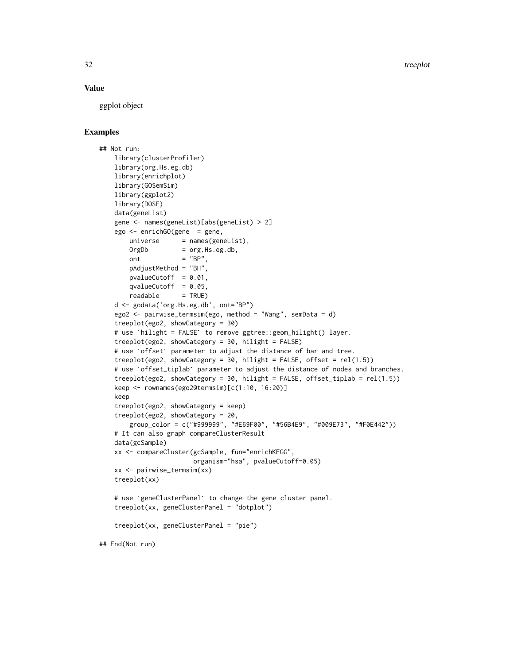#### Value

ggplot object

#### Examples

```
## Not run:
    library(clusterProfiler)
    library(org.Hs.eg.db)
    library(enrichplot)
    library(GOSemSim)
    library(ggplot2)
    library(DOSE)
    data(geneList)
    gene <- names(geneList)[abs(geneList) > 2]
     ego <- enrichGO(gene = gene,
          universe = names(geneList),
         OrgDb = org.Hs.eg.db,
         ont = "BP",pAdjustMethod = "BH",
         pvalueCutoff = 0.01,
         qvalueCutoff = 0.05,
          readable = TRUE)
     d <- godata('org.Hs.eg.db', ont="BP")
     ego2 <- pairwise_termsim(ego, method = "Wang", semData = d)
     treeplot(ego2, showCategory = 30)
     d <- godata('org.Hs.eg.db', ont="BP")<br>ego2 <- pairwise_termsim(ego, method = "Wang", semData = d)<br>treeplot(ego2, showCategory = 30)<br># use `hilight = FALSE` to remove ggtree::geom_hilight() layer.
     treeplot(ego2, showCategory = 30, hilight = FALSE)
     treeplot(ego2, showCategory = 30)<br># use `hilight = FALSE` to remove ggtree::geom_hilight() layer.<br>treeplot(ego2, showCategory = 30, hilight = FALSE)<br># use `offset` parameter to adjust the distance of bar and tree.
     treeplot(ego2, showCategory = 30, hilight = FALSE, offset = rel(1.5))
     # use `offset` parameter to adjust the distance of bar and tree.<br>treeplot(ego2, showCategory = 30, hilight = FALSE, offset = rel(1.5))<br># use `offset_tiplab` parameter to adjust the distance of nodes and branches.
     treeplot(ego2, showCategory = 30, hilight = FALSE, offset_tiplab = rel(1.5))
     keep <- rownames(ego2@termsim)[c(1:10, 16:20)]
    keep
     treeplot(ego2, showCategory = keep)
     treeplot(ego2, showCategory = 20,
          group_color = c("#999999", "#E69F00", "#56B4E9", "#009E73", "#F0E442"))
     # It can also graph compareClusterResult
     data(gcSample)
    xx <- compareCluster(gcSample, fun="enrichKEGG",
                               organism="hsa", pvalueCutoff=0.05)
    xx <- pairwise_termsim(xx)
     treeplot(xx)
     # use `geneClusterPanel` to change the gene cluster panel.
     treeplot(xx, geneClusterPanel = "dotplot")
     treeplot(xx, geneClusterPanel = "pie")
## End(Not run)
```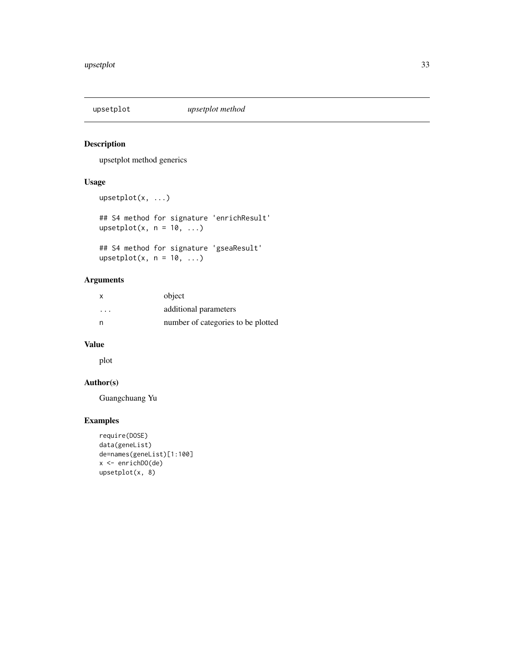<span id="page-32-0"></span>

#### Description

upsetplot method generics

#### Usage

```
upsetplot(x, ...)
## S4 method for signature 'enrichResult'
upsetplot(x, n = 10, ...)## S4 method for signature 'gseaResult'
upsetplot(x, n = 10, ...)
```
#### Arguments

|         | object                             |
|---------|------------------------------------|
| $\cdot$ | additional parameters              |
|         | number of categories to be plotted |

#### Value

plot

# Author(s)

Guangchuang Yu

#### Examples

```
require(DOSE)
data(geneList)
de=names(geneList)[1:100]
x <- enrichDO(de)
upsetplot(x, 8)
```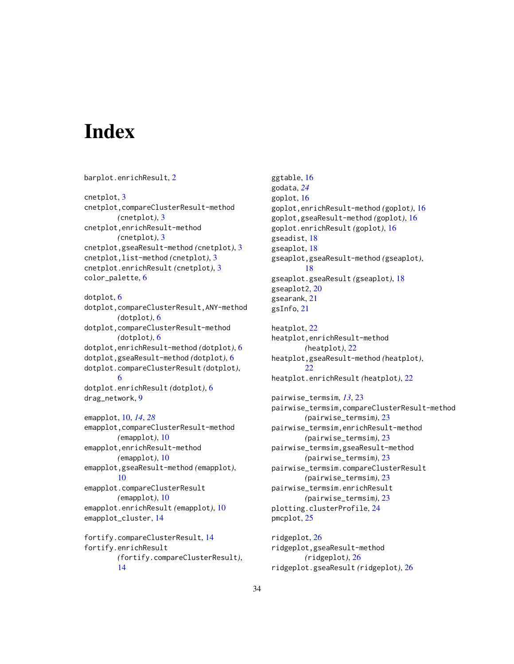# <span id="page-33-0"></span>**Index**

barplot.enrichResult, [2](#page-1-0) cnetplot, [3](#page-2-0) cnetplot,compareClusterResult-method *(*cnetplot*)*, [3](#page-2-0) cnetplot,enrichResult-method *(*cnetplot*)*, [3](#page-2-0) cnetplot,gseaResult-method *(*cnetplot*)*, [3](#page-2-0) cnetplot,list-method *(*cnetplot*)*, [3](#page-2-0) cnetplot.enrichResult *(*cnetplot*)*, [3](#page-2-0) color\_palette, [6](#page-5-0) dotplot, [6](#page-5-0) dotplot,compareClusterResult,ANY-method *(*dotplot*)*, [6](#page-5-0) dotplot,compareClusterResult-method *(*dotplot*)*, [6](#page-5-0) dotplot,enrichResult-method *(*dotplot*)*, [6](#page-5-0) dotplot,gseaResult-method *(*dotplot*)*, [6](#page-5-0) dotplot.compareClusterResult *(*dotplot*)*, [6](#page-5-0) dotplot.enrichResult *(*dotplot*)*, [6](#page-5-0) drag\_network, [9](#page-8-0) emapplot, [10,](#page-9-0) *[14](#page-13-0)*, *[28](#page-27-0)* emapplot,compareClusterResult-method *(*emapplot*)*, [10](#page-9-0) emapplot,enrichResult-method *(*emapplot*)*, [10](#page-9-0) emapplot,gseaResult-method *(*emapplot*)*, [10](#page-9-0) emapplot.compareClusterResult *(*emapplot*)*, [10](#page-9-0) emapplot.enrichResult *(*emapplot*)*, [10](#page-9-0) emapplot\_cluster, [14](#page-13-0) fortify.compareClusterResult, [14](#page-13-0) fortify.enrichResult *(*fortify.compareClusterResult*)*, [14](#page-13-0)

ggtable, [16](#page-15-0) godata, *[24](#page-23-0)* goplot, [16](#page-15-0) goplot,enrichResult-method *(*goplot*)*, [16](#page-15-0) goplot,gseaResult-method *(*goplot*)*, [16](#page-15-0) goplot.enrichResult *(*goplot*)*, [16](#page-15-0) gseadist, [18](#page-17-0) gseaplot, [18](#page-17-0) gseaplot,gseaResult-method *(*gseaplot*)*, [18](#page-17-0) gseaplot.gseaResult *(*gseaplot*)*, [18](#page-17-0) gseaplot2, [20](#page-19-0) gsearank, [21](#page-20-0) gsInfo, [21](#page-20-0) heatplot, [22](#page-21-0) heatplot,enrichResult-method *(*heatplot*)*, [22](#page-21-0) heatplot,gseaResult-method *(*heatplot*)*,  $22$ heatplot.enrichResult *(*heatplot*)*, [22](#page-21-0) pairwise\_termsim, *[13](#page-12-0)*, [23](#page-22-0) pairwise\_termsim,compareClusterResult-method *(*pairwise\_termsim*)*, [23](#page-22-0) pairwise\_termsim,enrichResult-method *(*pairwise\_termsim*)*, [23](#page-22-0) pairwise\_termsim,gseaResult-method *(*pairwise\_termsim*)*, [23](#page-22-0) pairwise\_termsim.compareClusterResult *(*pairwise\_termsim*)*, [23](#page-22-0) pairwise\_termsim.enrichResult *(*pairwise\_termsim*)*, [23](#page-22-0) plotting.clusterProfile, [24](#page-23-0) pmcplot, [25](#page-24-0)

ridgeplot, [26](#page-25-0) ridgeplot,gseaResult-method *(*ridgeplot*)*, [26](#page-25-0) ridgeplot.gseaResult *(*ridgeplot*)*, [26](#page-25-0)